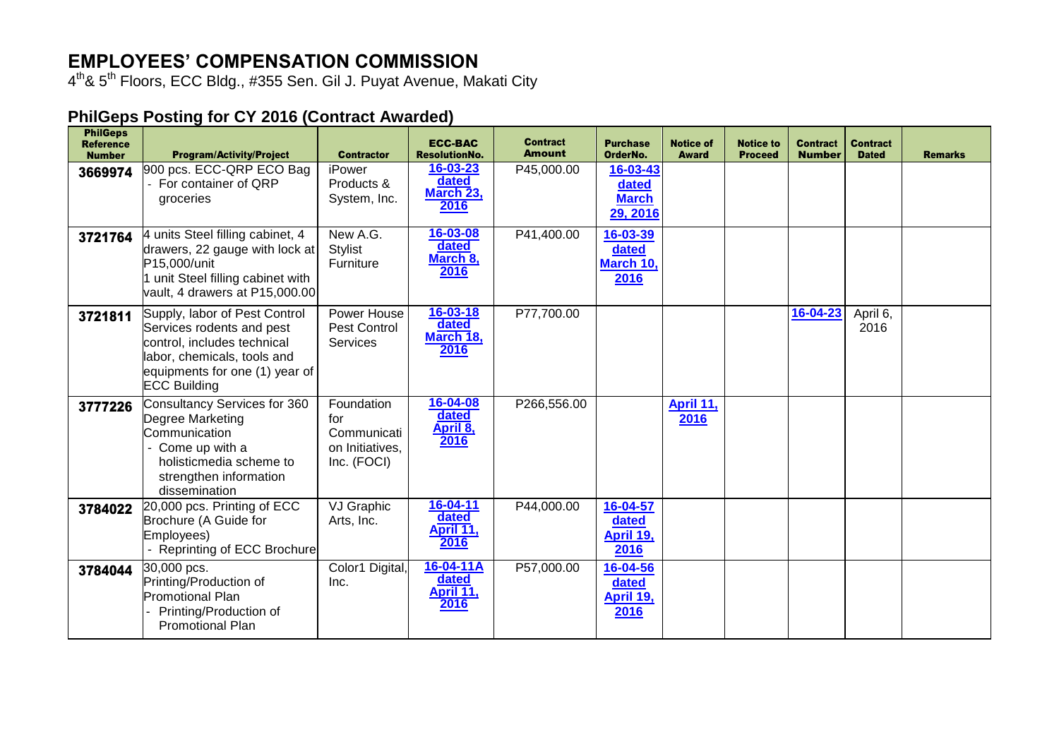## **EMPLOYEES' COMPENSATION COMMISSION**

4<sup>th</sup>& 5<sup>th</sup> Floors, ECC Bldg., #355 Sen. Gil J. Puyat Avenue, Makati City

## **PhilGeps Posting for CY 2016 (Contract Awarded)**

| <b>PhilGeps</b><br><b>Reference</b><br><b>Number</b> | <b>Program/Activity/Project</b>                                                                                                                                                   | <b>Contractor</b>                                                  | <b>ECC-BAC</b><br><b>ResolutionNo.</b>       | <b>Contract</b><br><b>Amount</b> | <b>Purchase</b><br>OrderNo.                   | <b>Notice of</b><br><b>Award</b> | <b>Notice to</b><br><b>Proceed</b> | <b>Contract</b><br><b>Number</b> | <b>Contract</b><br><b>Dated</b> | <b>Remarks</b> |
|------------------------------------------------------|-----------------------------------------------------------------------------------------------------------------------------------------------------------------------------------|--------------------------------------------------------------------|----------------------------------------------|----------------------------------|-----------------------------------------------|----------------------------------|------------------------------------|----------------------------------|---------------------------------|----------------|
| 3669974                                              | 900 pcs. ECC-QRP ECO Bag<br>For container of QRP<br>groceries                                                                                                                     | iPower<br>Products &<br>System, Inc.                               | 16-03-23<br>dated<br>March 23,<br>2016       | P45,000.00                       | 16-03-43<br>dated<br><b>March</b><br>29, 2016 |                                  |                                    |                                  |                                 |                |
| 3721764                                              | 4 units Steel filling cabinet, 4<br>drawers, 22 gauge with lock at<br>P15,000/unit<br>1 unit Steel filling cabinet with<br>vault, 4 drawers at P15,000.00                         | New A.G.<br><b>Stylist</b><br>Furniture                            | 16-03-08<br>dated<br>March 8,<br>2016        | P41,400.00                       | 16-03-39<br>dated<br>March 10,<br>2016        |                                  |                                    |                                  |                                 |                |
| 3721811                                              | Supply, labor of Pest Control<br>Services rodents and pest<br>control, includes technical<br>labor, chemicals, tools and<br>equipments for one (1) year of<br><b>ECC Building</b> | Power House<br>Pest Control<br>Services                            | $16 - 03 - 18$<br>dated<br>March 18,<br>2016 | P77,700.00                       |                                               |                                  |                                    | 16-04-23                         | April 6,<br>2016                |                |
| 3777226                                              | Consultancy Services for 360<br>Degree Marketing<br>Communication<br>Come up with a<br>holisticmedia scheme to<br>strengthen information<br>dissemination                         | Foundation<br>for<br>Communicati<br>on Initiatives,<br>Inc. (FOCI) | 16-04-08<br>dated<br>April 8,<br>2016        | P266,556.00                      |                                               | April 11,<br>2016                |                                    |                                  |                                 |                |
| 3784022                                              | 20,000 pcs. Printing of ECC<br>Brochure (A Guide for<br>Employees)<br>Reprinting of ECC Brochure                                                                                  | VJ Graphic<br>Arts, Inc.                                           | 16-04-11<br>dated<br>April 11,<br>2016       | P44,000.00                       | 16-04-57<br>dated<br>April 19,<br>2016        |                                  |                                    |                                  |                                 |                |
| 3784044                                              | 30,000 pcs.<br>Printing/Production of<br><b>Promotional Plan</b><br>Printing/Production of<br><b>Promotional Plan</b>                                                             | Color1 Digital,<br>Inc.                                            | 16-04-11A<br>dated<br>April 11,<br>2016      | P57,000.00                       | 16-04-56<br>dated<br>April 19,<br>2016        |                                  |                                    |                                  |                                 |                |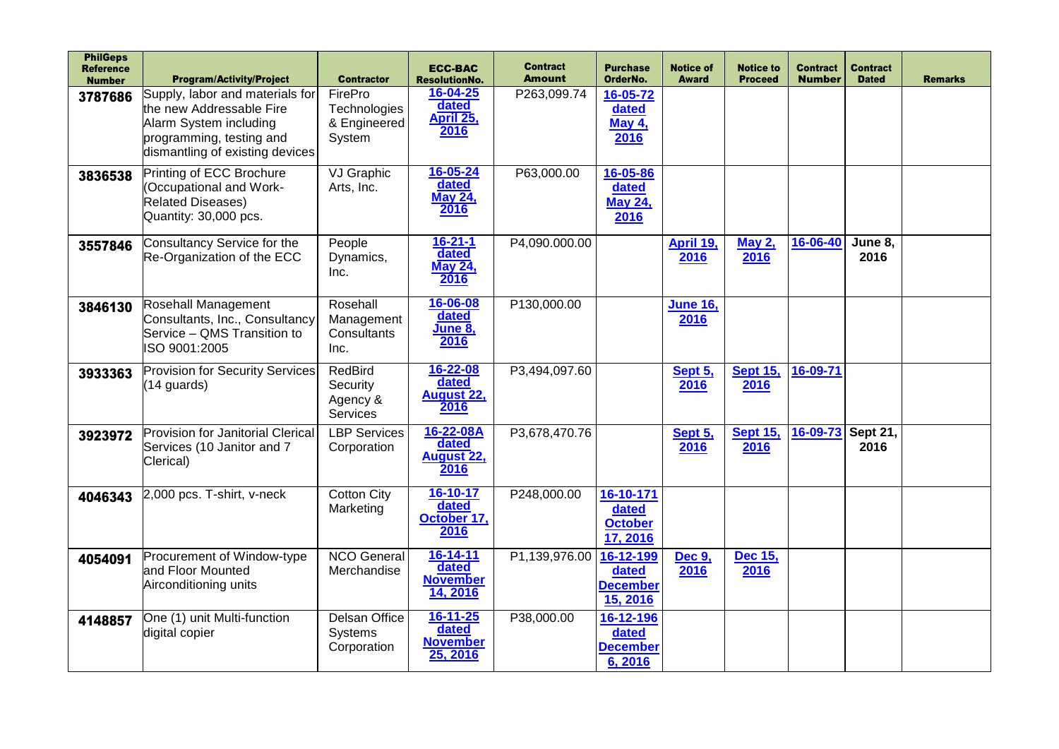| <b>PhilGeps</b><br><b>Reference</b><br><b>Number</b> | <b>Program/Activity/Project</b>                                                                                                                      | <b>Contractor</b>                                  | <b>ECC-BAC</b><br><b>ResolutionNo.</b>                 | <b>Contract</b><br><b>Amount</b> | <b>Purchase</b><br>OrderNo.                       | <b>Notice of</b><br><b>Award</b> | <b>Notice to</b><br><b>Proceed</b> | <b>Contract</b><br><b>Number</b> | <b>Contract</b><br><b>Dated</b> | <b>Remarks</b> |
|------------------------------------------------------|------------------------------------------------------------------------------------------------------------------------------------------------------|----------------------------------------------------|--------------------------------------------------------|----------------------------------|---------------------------------------------------|----------------------------------|------------------------------------|----------------------------------|---------------------------------|----------------|
| 3787686                                              | Supply, labor and materials for<br>the new Addressable Fire<br>Alarm System including<br>programming, testing and<br>dismantling of existing devices | FirePro<br>Technologies<br>& Engineered<br>System  | 16-04-25<br>dated<br>April 25,<br>2016                 | P263,099.74                      | 16-05-72<br>dated<br><b>May 4,</b><br>2016        |                                  |                                    |                                  |                                 |                |
| 3836538                                              | Printing of ECC Brochure<br>(Occupational and Work-<br><b>Related Diseases)</b><br>Quantity: 30,000 pcs.                                             | VJ Graphic<br>Arts, Inc.                           | $16 - 05 - 24$<br>dated<br><b>May 24,</b><br>2016      | P63,000.00                       | 16-05-86<br>dated<br><b>May 24,</b><br>2016       |                                  |                                    |                                  |                                 |                |
| 3557846                                              | Consultancy Service for the<br>Re-Organization of the ECC                                                                                            | People<br>Dynamics,<br>Inc.                        | $16 - 21 - 1$<br>dated<br><b>May 24,</b><br>2016       | P4,090.000.00                    |                                                   | April 19,<br>2016                | <b>May 2,</b><br>2016              | 16-06-40                         | June 8,<br>2016                 |                |
| 3846130                                              | Rosehall Management<br>Consultants, Inc., Consultancy<br>Service - QMS Transition to<br>ISO 9001:2005                                                | Rosehall<br>Management<br>Consultants<br>Inc.      | 16-06-08<br>dated<br>June 8,<br>2016                   | P130,000.00                      |                                                   | <b>June 16,</b><br>2016          |                                    |                                  |                                 |                |
| 3933363                                              | <b>Provision for Security Services</b><br>(14 guards)                                                                                                | <b>RedBird</b><br>Security<br>Agency &<br>Services | $16 - 22 - 08$<br>dated<br>August 22,<br>2016          | P3,494,097.60                    |                                                   | Sept 5,<br>2016                  | <b>Sept 15,</b><br>2016            | 16-09-71                         |                                 |                |
| 3923972                                              | <b>Provision for Janitorial Clerical</b><br>Services (10 Janitor and 7<br>Clerical)                                                                  | <b>LBP Services</b><br>Corporation                 | 16-22-08A<br>dated<br><b>August 22,</b><br>2016        | P3,678,470.76                    |                                                   | Sept 5,<br>2016                  | <b>Sept 15,</b><br>2016            | 16-09-73                         | Sept 21,<br>2016                |                |
| 4046343                                              | 2,000 pcs. T-shirt, v-neck                                                                                                                           | <b>Cotton City</b><br>Marketing                    | 16-10-17<br>dated<br>October 17,<br>2016               | P248,000.00                      | 16-10-171<br>dated<br><b>October</b><br>17, 2016  |                                  |                                    |                                  |                                 |                |
| 4054091                                              | Procurement of Window-type<br>and Floor Mounted<br>Airconditioning units                                                                             | <b>NCO General</b><br>Merchandise                  | $16 - 14 - 11$<br>dated<br><b>November</b><br>14, 2016 | P1,139,976.00                    | 16-12-199<br>dated<br><b>December</b><br>15, 2016 | <b>Dec 9,</b><br>2016            | Dec 15,<br>2016                    |                                  |                                 |                |
| 4148857                                              | One (1) unit Multi-function<br>digital copier                                                                                                        | Delsan Office<br>Systems<br>Corporation            | 16-11-25<br>dated<br><b>November</b><br>25, 2016       | P38,000.00                       | 16-12-196<br>dated<br><b>December</b><br>6, 2016  |                                  |                                    |                                  |                                 |                |